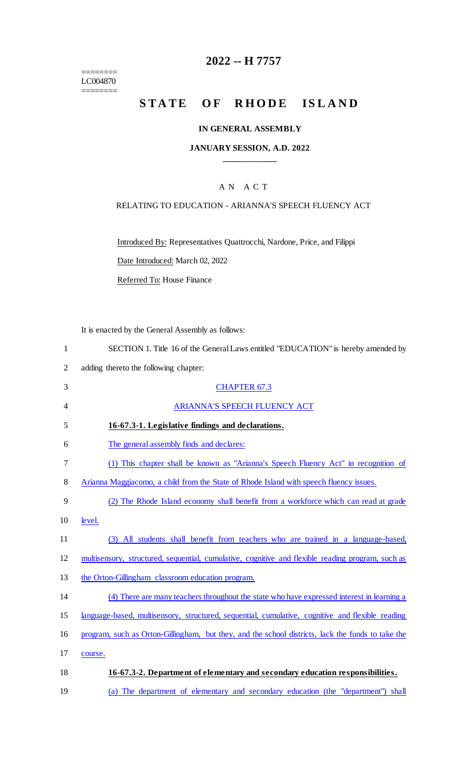======== LC004870

 $=$ 

# **2022 -- H 7757**

# STATE OF RHODE ISLAND

#### **IN GENERAL ASSEMBLY**

#### **JANUARY SESSION, A.D. 2022 \_\_\_\_\_\_\_\_\_\_\_\_**

## A N A C T

#### RELATING TO EDUCATION - ARIANNA'S SPEECH FLUENCY ACT

Introduced By: Representatives Quattrocchi, Nardone, Price, and Filippi

Date Introduced: March 02, 2022

Referred To: House Finance

It is enacted by the General Assembly as follows:

|  | SECTION 1. Title 16 of the General Laws entitled "EDUCATION" is hereby amended by |  |  |
|--|-----------------------------------------------------------------------------------|--|--|
|  |                                                                                   |  |  |

2 adding thereto the following chapter:

| 3              | <b>CHAPTER 67.3</b>                                                                               |  |  |  |
|----------------|---------------------------------------------------------------------------------------------------|--|--|--|
| $\overline{4}$ | ARIANNA'S SPEECH FLUENCY ACT                                                                      |  |  |  |
| 5              | 16-67.3-1. Legislative findings and declarations.                                                 |  |  |  |
| 6              | The general assembly finds and declares:                                                          |  |  |  |
| 7              | (1) This chapter shall be known as "Arianna's Speech Fluency Act" in recognition of               |  |  |  |
| 8              | Arianna Maggiacomo, a child from the State of Rhode Island with speech fluency issues.            |  |  |  |
| 9              | (2) The Rhode Island economy shall benefit from a workforce which can read at grade               |  |  |  |
| 10             | level.                                                                                            |  |  |  |
| 11             | (3) All students shall benefit from teachers who are trained in a language-based,                 |  |  |  |
| 12             | multisensory, structured, sequential, cumulative, cognitive and flexible reading program, such as |  |  |  |
| 13             | the Orton-Gillingham classroom education program.                                                 |  |  |  |
| 14             | (4) There are many teachers throughout the state who have expressed interest in learning a        |  |  |  |
| 15             | language-based, multisensory, structured, sequential, cumulative, cognitive and flexible reading  |  |  |  |
| 16             | program, such as Orton-Gillingham, but they, and the school districts, lack the funds to take the |  |  |  |
| 17             | course.                                                                                           |  |  |  |
| 18             | 16-67.3-2. Department of elementary and secondary education responsibilities.                     |  |  |  |
| 19             | (a) The department of elementary and secondary education (the "department") shall                 |  |  |  |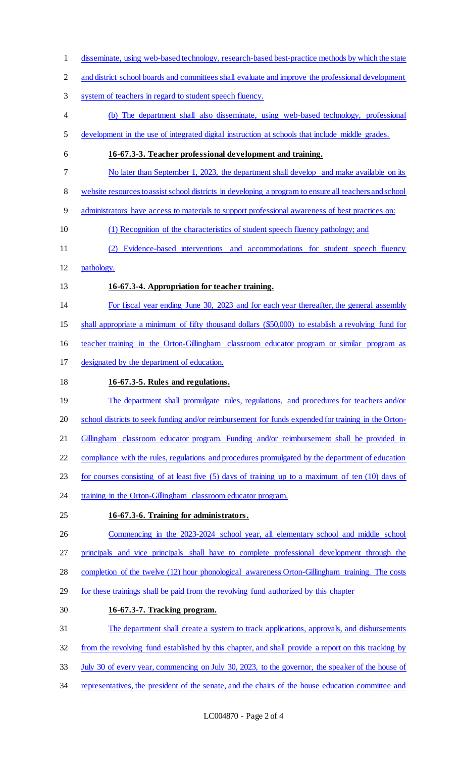- disseminate, using web-based technology, research-based best-practice methods by which the state
- and district school boards and committees shall evaluate and improve the professional development
- system of teachers in regard to student speech fluency.
- (b) The department shall also disseminate, using web-based technology, professional
- development in the use of integrated digital instruction at schools that include middle grades.
- **16-67.3-3. Teacher professional development and training.**
- No later than September 1, 2023, the department shall develop and make available on its
- website resources to assist school districts in developing a program to ensure all teachers and school
- administrators have access to materials to support professional awareness of best practices on:
- (1) Recognition of the characteristics of student speech fluency pathology; and
- (2) Evidence-based interventions and accommodations for student speech fluency
- pathology.
- **16-67.3-4. Appropriation for teacher training.**
- For fiscal year ending June 30, 2023 and for each year thereafter, the general assembly

shall appropriate a minimum of fifty thousand dollars (\$50,000) to establish a revolving fund for

- teacher training in the Orton-Gillingham classroom educator program or similar program as
- designated by the department of education.
- **16-67.3-5. Rules and regulations.**
- 19 The department shall promulgate rules, regulations, and procedures for teachers and/or school districts to seek funding and/or reimbursement for funds expended for training in the Orton-21 Gillingham classroom educator program. Funding and/or reimbursement shall be provided in compliance with the rules, regulations and procedures promulgated by the department of education for courses consisting of at least five (5) days of training up to a maximum of ten (10) days of 24 training in the Orton-Gillingham classroom educator program.
- **16-67.3-6. Training for administrators.**
- Commencing in the 2023-2024 school year, all elementary school and middle school principals and vice principals shall have to complete professional development through the
- completion of the twelve (12) hour phonological awareness Orton-Gillingham training. The costs
- for these trainings shall be paid from the revolving fund authorized by this chapter
- **16-67.3-7. Tracking program.**
- The department shall create a system to track applications, approvals, and disbursements
- from the revolving fund established by this chapter, and shall provide a report on this tracking by
- July 30 of every year, commencing on July 30, 2023, to the governor, the speaker of the house of
- representatives, the president of the senate, and the chairs of the house education committee and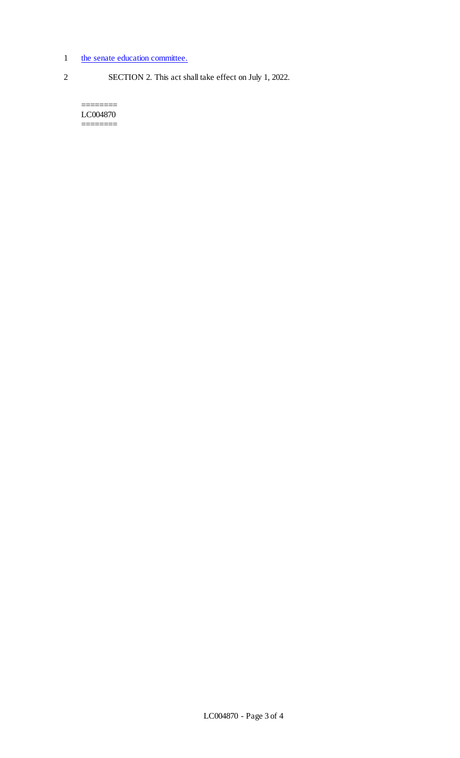- 1 the senate education committee.
- 2 SECTION 2. This act shall take effect on July 1, 2022.

LC004870 ========

========